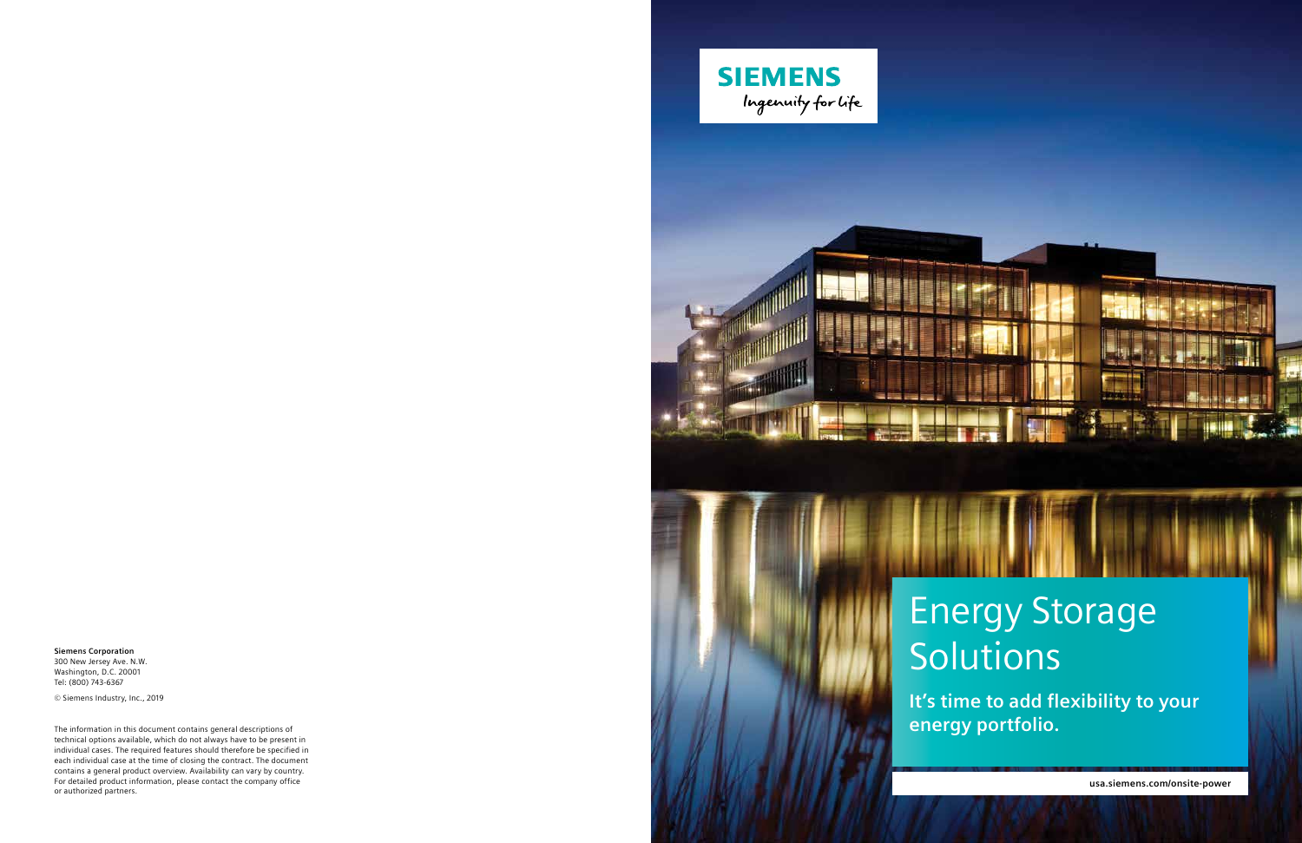**usa.siemens.com/onsite-power**

# Energy Storage Solutions

**It's time to add flexibility to your energy portfolio.**

**Siemens Corporation** 300 New Jersey Ave. N.W. Washington, D.C. 20001 Tel: (800) 743-6367

© Siemens Industry, Inc., 2019

The information in this document contains general descriptions of technical options available, which do not always have to be present in individual cases. The required features should therefore be specified in each individual case at the time of closing the contract. The document contains a general product overview. Availability can vary by country. For detailed product information, please contact the company office or authorized partners.





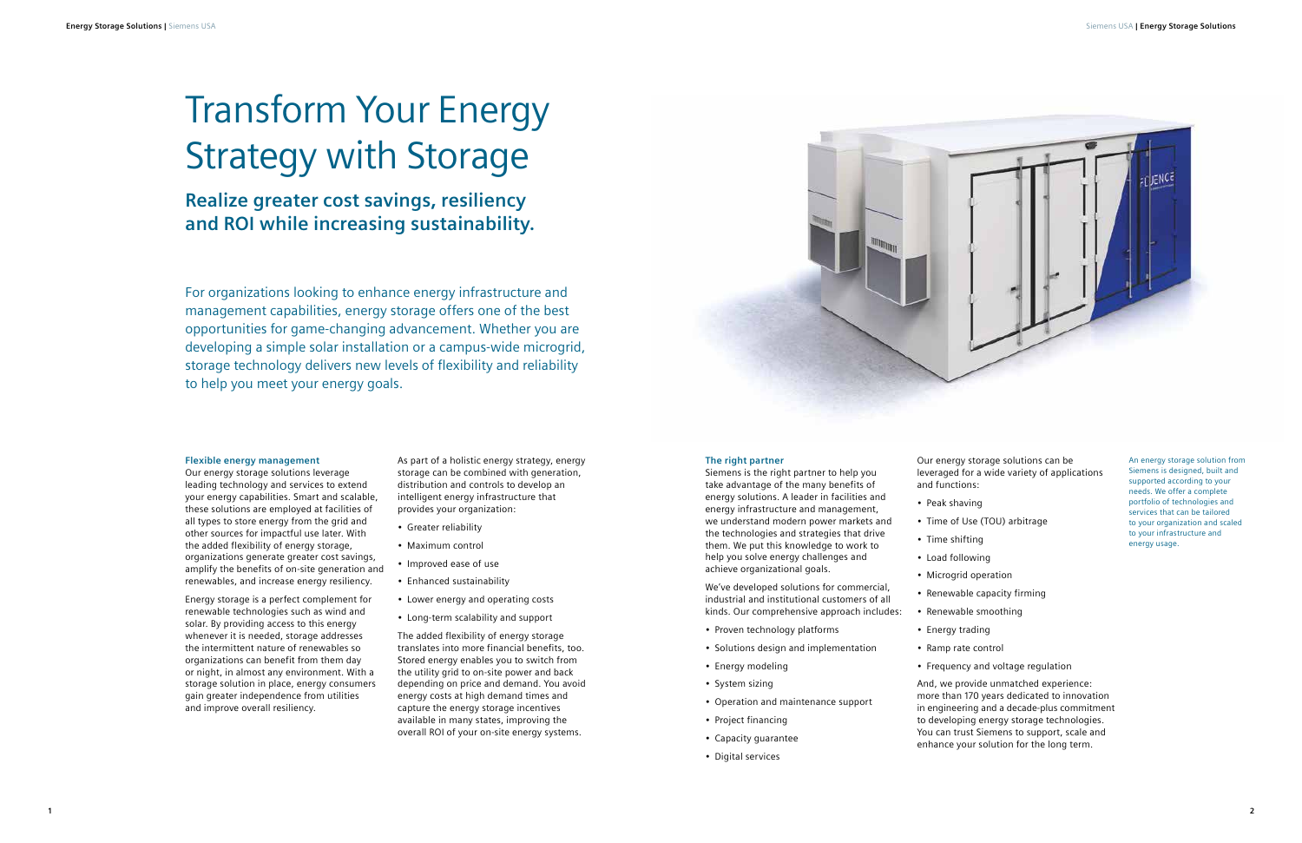An energy storage solution from Siemens is designed, built and supported according to your needs. We offer a complete portfolio of technologies and services that can be tailored to your organization and scaled to your infrastructure and energy usage.

#### **Flexible energy management**

Our energy storage solutions leverage leading technology and services to extend your energy capabilities. Smart and scalable, these solutions are employed at facilities of all types to store energy from the grid and other sources for impactful use later. With the added flexibility of energy storage, organizations generate greater cost savings, amplify the benefits of on-site generation and renewables, and increase energy resiliency.

Energy storage is a perfect complement for renewable technologies such as wind and solar. By providing access to this energy whenever it is needed, storage addresses the intermittent nature of renewables so organizations can benefit from them day or night, in almost any environment. With a storage solution in place, energy consumers gain greater independence from utilities and improve overall resiliency.

As part of a holistic energy strategy, energy storage can be combined with generation, distribution and controls to develop an intelligent energy infrastructure that provides your organization:

- Greater reliability
- Maximum control
- Improved ease of use
- Enhanced sustainability
- Lower energy and operating costs
- Long-term scalability and support

The added flexibility of energy storage translates into more financial benefits, too. Stored energy enables you to switch from the utility grid to on-site power and back depending on price and demand. You avoid energy costs at high demand times and capture the energy storage incentives available in many states, improving the overall ROI of your on-site energy systems.

## Transform Your Energy Strategy with Storage

### **Realize greater cost savings, resiliency and ROI while increasing sustainability.**

#### **The right partner**

Siemens is the right partner to help you take advantage of the many benefits of energy solutions. A leader in facilities and energy infrastructure and management, we understand modern power markets and the technologies and strategies that drive them. We put this knowledge to work to help you solve energy challenges and achieve organizational goals.

We've developed solutions for commercial, industrial and institutional customers of all kinds. Our comprehensive approach includes:

- Proven technology platforms
- Solutions design and implementation
- Energy modeling
- System sizing
- Operation and maintenance support
- Project financing
- Capacity guarantee
- Digital services

Our energy storage solutions can be leveraged for a wide variety of applications

and functions:

- Peak shaving
- Time of Use (TOU) arbitrage
- Time shifting
- Renewable capacity firming
- Renewable smoothing
- 
- 
- 
- Load following
- Microgrid operation
- 
- Energy trading
- Ramp rate control
- Frequency and voltage regulation

And, we provide unmatched experience: more than 170 years dedicated to innovation in engineering and a decade-plus commitment to developing energy storage technologies. You can trust Siemens to support, scale and enhance your solution for the long term.

For organizations looking to enhance energy infrastructure and management capabilities, energy storage offers one of the best opportunities for game-changing advancement. Whether you are developing a simple solar installation or a campus-wide microgrid, storage technology delivers new levels of flexibility and reliability to help you meet your energy goals.

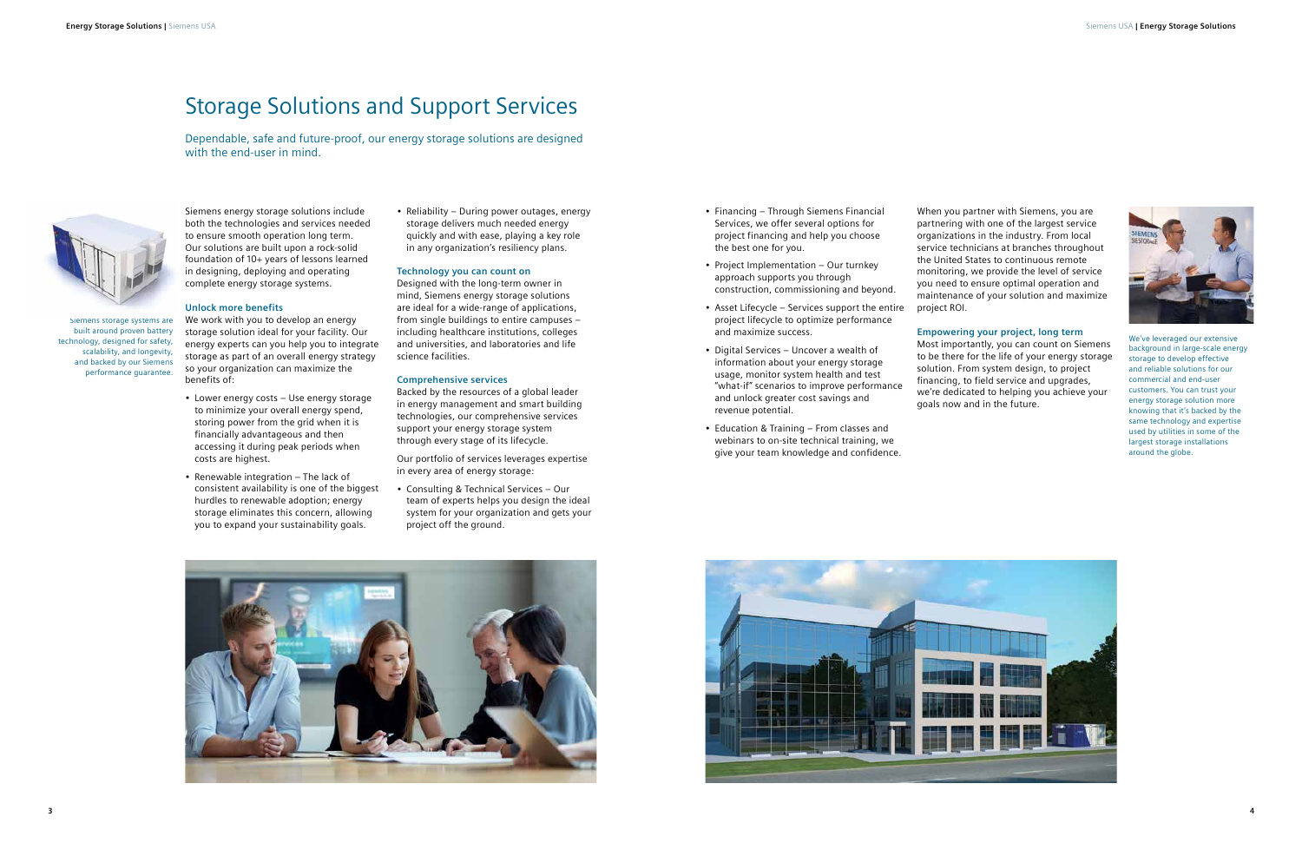Siemens storage systems are built around proven battery technology, designed for safety, scalability, and longevity, and backed by our Siemens performance guarantee.

We've leveraged our extensive background in large-scale energy storage to develop effective and reliable solutions for our commercial and end-user customers. You can trust your energy storage solution more knowing that it's backed by the same technology and expertise used by utilities in some of the largest storage installations around the globe.

Siemens energy storage solutions include both the technologies and services needed to ensure smooth operation long term. Our solutions are built upon a rock-solid foundation of 10+ years of lessons learned in designing, deploying and operating complete energy storage systems.

#### **Unlock more benefits**

We work with you to develop an energy storage solution ideal for your facility. Our energy experts can you help you to integrate storage as part of an overall energy strategy so your organization can maximize the benefits of:

- Lower energy costs Use energy storage to minimize your overall energy spend, storing power from the grid when it is financially advantageous and then accessing it during peak periods when costs are highest.
- Renewable integration The lack of consistent availability is one of the biggest hurdles to renewable adoption; energy storage eliminates this concern, allowing you to expand your sustainability goals.

• Reliability – During power outages, energy storage delivers much needed energy quickly and with ease, playing a key role in any organization's resiliency plans.

#### **Technology you can count on**

Designed with the long-term owner in mind, Siemens energy storage solutions are ideal for a wide-range of applications, from single buildings to entire campuses – including healthcare institutions, colleges and universities, and laboratories and life science facilities.

#### **Comprehensive services**

Backed by the resources of a global leader in energy management and smart building technologies, our comprehensive services support your energy storage system through every stage of its lifecycle.

Our portfolio of services leverages expertise in every area of energy storage:

• Consulting & Technical Services – Our team of experts helps you design the ideal system for your organization and gets your project off the ground.

- Financing Through Siemens Financial Services, we offer several options for project financing and help you choose the best one for you.
- Project Implementation Our turnkey approach supports you through construction, commissioning and beyond.
- Asset Lifecycle Services support the entire project lifecycle to optimize performance and maximize success.
- Digital Services Uncover a wealth of information about your energy storage usage, monitor system health and test "what-if" scenarios to improve performance and unlock greater cost savings and revenue potential.
- Education & Training From classes and webinars to on-site technical training, we give your team knowledge and confidence.

When you partner with Siemens, you are partnering with one of the largest service organizations in the industry. From local service technicians at branches throughout the United States to continuous remote monitoring, we provide the level of service you need to ensure optimal operation and maintenance of your solution and maximize



#### **Empowering your project, long term**



Most importantly, you can count on Siemens to be there for the life of your energy storage solution. From system design, to project financing, to field service and upgrades, we're dedicated to helping you achieve your goals now and in the future.





## Storage Solutions and Support Services

Dependable, safe and future-proof, our energy storage solutions are designed with the end-user in mind.